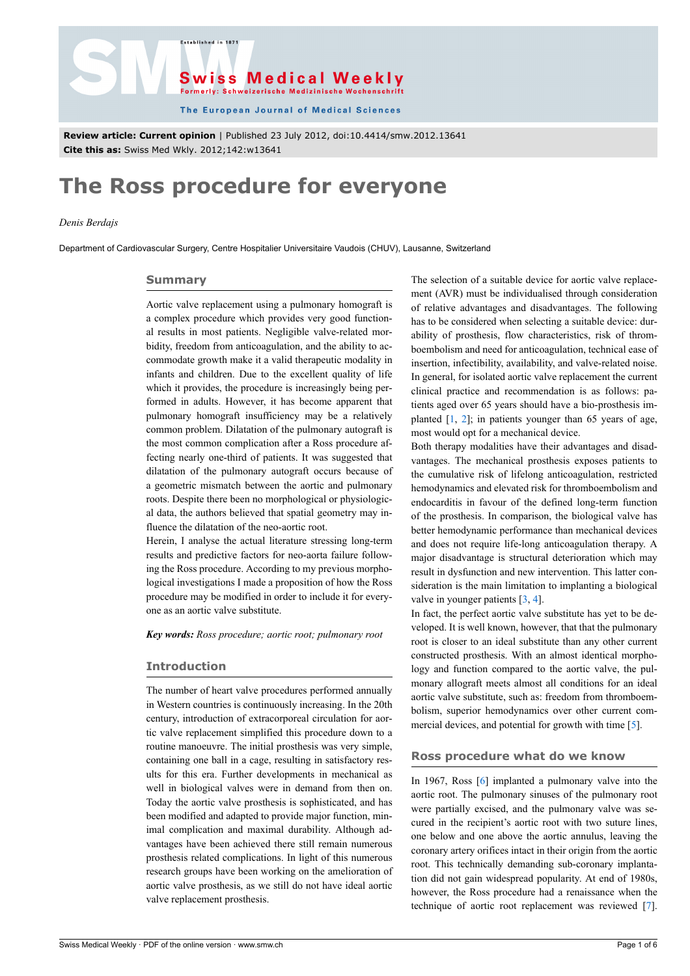



The European Journal of Medical Sciences

**Review article: Current opinion** | Published 23 July 2012, doi:10.4414/smw.2012.13641 **Cite this as:** Swiss Med Wkly. 2012;142:w13641

# **The Ross procedure for everyone**

# *Denis Berdajs*

Department of Cardiovascular Surgery, Centre Hospitalier Universitaire Vaudois (CHUV), Lausanne, Switzerland

## **Summary**

Aortic valve replacement using a pulmonary homograft is a complex procedure which provides very good functional results in most patients. Negligible valve-related morbidity, freedom from anticoagulation, and the ability to accommodate growth make it a valid therapeutic modality in infants and children. Due to the excellent quality of life which it provides, the procedure is increasingly being performed in adults. However, it has become apparent that pulmonary homograft insufficiency may be a relatively common problem. Dilatation of the pulmonary autograft is the most common complication after a Ross procedure affecting nearly one-third of patients. It was suggested that dilatation of the pulmonary autograft occurs because of a geometric mismatch between the aortic and pulmonary roots. Despite there been no morphological or physiological data, the authors believed that spatial geometry may influence the dilatation of the neo-aortic root.

Herein, I analyse the actual literature stressing long-term results and predictive factors for neo-aorta failure following the Ross procedure. According to my previous morphological investigations I made a proposition of how the Ross procedure may be modified in order to include it for everyone as an aortic valve substitute.

*Key words: Ross procedure; aortic root; pulmonary root*

## **Introduction**

The number of heart valve procedures performed annually in Western countries is continuously increasing. In the 20th century, introduction of extracorporeal circulation for aortic valve replacement simplified this procedure down to a routine manoeuvre. The initial prosthesis was very simple, containing one ball in a cage, resulting in satisfactory results for this era. Further developments in mechanical as well in biological valves were in demand from then on. Today the aortic valve prosthesis is sophisticated, and has been modified and adapted to provide major function, minimal complication and maximal durability. Although advantages have been achieved there still remain numerous prosthesis related complications. In light of this numerous research groups have been working on the amelioration of aortic valve prosthesis, as we still do not have ideal aortic valve replacement prosthesis.

The selection of a suitable device for aortic valve replacement (AVR) must be individualised through consideration of relative advantages and disadvantages. The following has to be considered when selecting a suitable device: durability of prosthesis, flow characteristics, risk of thromboembolism and need for anticoagulation, technical ease of insertion, infectibility, availability, and valve-related noise. In general, for isolated aortic valve replacement the current clinical practice and recommendation is as follows: patients aged over 65 years should have a bio-prosthesis implanted [[1](#page-3-0), [2](#page-3-1)]; in patients younger than 65 years of age, most would opt for a mechanical device.

Both therapy modalities have their advantages and disadvantages. The mechanical prosthesis exposes patients to the cumulative risk of lifelong anticoagulation, restricted hemodynamics and elevated risk for thromboembolism and endocarditis in favour of the defined long-term function of the prosthesis. In comparison, the biological valve has better hemodynamic performance than mechanical devices and does not require life-long anticoagulation therapy. A major disadvantage is structural deterioration which may result in dysfunction and new intervention. This latter consideration is the main limitation to implanting a biological valve in younger patients [[3](#page-3-2), [4](#page-3-3)].

In fact, the perfect aortic valve substitute has yet to be developed. It is well known, however, that that the pulmonary root is closer to an ideal substitute than any other current constructed prosthesis. With an almost identical morphology and function compared to the aortic valve, the pulmonary allograft meets almost all conditions for an ideal aortic valve substitute, such as: freedom from thromboembolism, superior hemodynamics over other current commercial devices, and potential for growth with time  $[5]$ .

## **Ross procedure what do we know**

In 1967, Ross [[6](#page-3-5)] implanted a pulmonary valve into the aortic root. The pulmonary sinuses of the pulmonary root were partially excised, and the pulmonary valve was secured in the recipient's aortic root with two suture lines, one below and one above the aortic annulus, leaving the coronary artery orifices intact in their origin from the aortic root. This technically demanding sub-coronary implantation did not gain widespread popularity. At end of 1980s, however, the Ross procedure had a renaissance when the technique of aortic root replacement was reviewed [\[7\]](#page-3-6).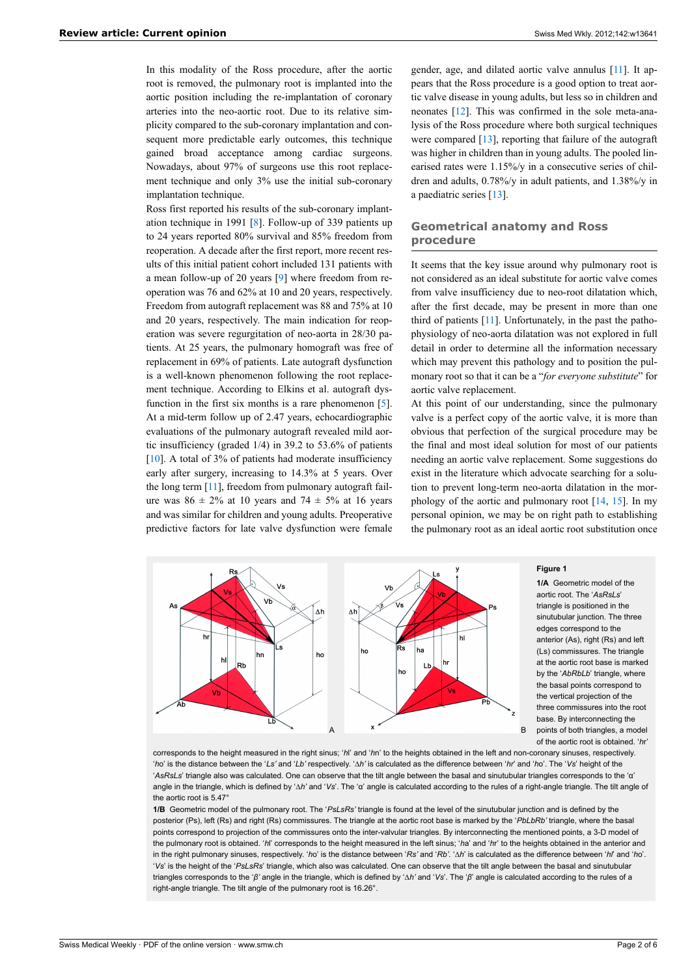In this modality of the Ross procedure, after the aortic root is removed, the pulmonary root is implanted into the aortic position including the re-implantation of coronary arteries into the neo-aortic root. Due to its relative simplicity compared to the sub-coronary implantation and consequent more predictable early outcomes, this technique gained broad acceptance among cardiac surgeons. Nowadays, about 97% of surgeons use this root replacement technique and only 3% use the initial sub-coronary implantation technique.

Ross first reported his results of the sub-coronary implantation technique in 1991 [[8](#page-3-7)]. Follow-up of 339 patients up to 24 years reported 80% survival and 85% freedom from reoperation. A decade after the first report, more recent results of this initial patient cohort included 131 patients with a mean follow-up of 20 years [\[9\]](#page-3-8) where freedom from reoperation was 76 and 62% at 10 and 20 years, respectively. Freedom from autograft replacement was 88 and 75% at 10 and 20 years, respectively. The main indication for reoperation was severe regurgitation of neo-aorta in 28/30 patients. At 25 years, the pulmonary homograft was free of replacement in 69% of patients. Late autograft dysfunction is a well-known phenomenon following the root replacement technique. According to Elkins et al. autograft dys-function in the first six months is a rare phenomenon [[5](#page-3-4)]. At a mid-term follow up of 2.47 years, echocardiographic evaluations of the pulmonary autograft revealed mild aortic insufficiency (graded 1/4) in 39.2 to 53.6% of patients [\[10](#page-3-9)]. A total of 3% of patients had moderate insufficiency early after surgery, increasing to 14.3% at 5 years. Over the long term [\[11\]](#page-3-10), freedom from pulmonary autograft failure was  $86 \pm 2\%$  at 10 years and  $74 \pm 5\%$  at 16 years and was similar for children and young adults. Preoperative predictive factors for late valve dysfunction were female

gender, age, and dilated aortic valve annulus [[11\]](#page-3-10). It appears that the Ross procedure is a good option to treat aortic valve disease in young adults, but less so in children and neonates [[12\]](#page-3-11). This was confirmed in the sole meta-analysis of the Ross procedure where both surgical techniques were compared  $[13]$  $[13]$ , reporting that failure of the autograft was higher in children than in young adults. The pooled linearised rates were 1.15%/y in a consecutive series of children and adults, 0.78%/y in adult patients, and 1.38%/y in a paediatric series [\[13](#page-3-12)].

# **Geometrical anatomy and Ross procedure**

It seems that the key issue around why pulmonary root is not considered as an ideal substitute for aortic valve comes from valve insufficiency due to neo-root dilatation which, after the first decade, may be present in more than one third of patients [\[11\]](#page-3-10). Unfortunately, in the past the pathophysiology of neo-aorta dilatation was not explored in full detail in order to determine all the information necessary which may prevent this pathology and to position the pulmonary root so that it can be a "*for everyone substitute*" for aortic valve replacement.

At this point of our understanding, since the pulmonary valve is a perfect copy of the aortic valve, it is more than obvious that perfection of the surgical procedure may be the final and most ideal solution for most of our patients needing an aortic valve replacement. Some suggestions do exist in the literature which advocate searching for a solution to prevent long-term neo-aorta dilatation in the morphology of the aortic and pulmonary root  $[14, 15]$  $[14, 15]$  $[14, 15]$ . In my personal opinion, we may be on right path to establishing the pulmonary root as an ideal aortic root substitution once



**1/A** Geometric model of the aortic root. The '*AsRsLs*' triangle is positioned in the sinutubular junction. The three edges correspond to the anterior (As), right (Rs) and left (Ls) commissures. The triangle at the aortic root base is marked by the '*AbRbI b*' triangle, where the basal points correspond to the vertical projection of the three commissures into the root base. By interconnecting the points of both triangles, a model of the aortic root is obtained. '*h*r'

corresponds to the height measured in the right sinus; '*h*l' and '*h*n' to the heights obtained in the left and non-coronary sinuses, respectively. '*h*o' is the distance between the '*Ls'* and '*Lb'* respectively. '∆*h'* is calculated as the difference between '*hr*' and '*h*o'. The '*Vs*' height of the '*AsRsLs*' triangle also was calculated. One can observe that the tilt angle between the basal and sinutubular triangles corresponds to the 'α' angle in the triangle, which is defined by '∆*h'* and '*Vs*'. The 'α' angle is calculated according to the rules of a right-angle triangle. The tilt angle of the aortic root is 5.47°

**1/B** Geometric model of the pulmonary root. The '*PsLsRs'* triangle is found at the level of the sinutubular junction and is defined by the posterior (Ps), left (Rs) and right (Rs) commissures. The triangle at the aortic root base is marked by the '*PbLbRb'* triangle, where the basal points correspond to projection of the commissures onto the inter-valvular triangles. By interconnecting the mentioned points, a 3-D model of the pulmonary root is obtained. '*h*l' corresponds to the height measured in the left sinus; '*h*a' and '*h*r' to the heights obtained in the anterior and in the right pulmonary sinuses, respectively. '*h*o' is the distance between '*Rs'* and '*Rb'*. '∆*h*' is calculated as the difference between '*hl*' and '*h*o'. '*Vs*' is the height of the '*PsLsRs*' triangle, which also was calculated. One can observe that the tilt angle between the basal and sinutubular triangles corresponds to the '*β'* angle in the triangle, which is defined by '∆*h'* and '*Vs*'. The '*β*' angle is calculated according to the rules of a right-angle triangle. The tilt angle of the pulmonary root is 16.26°.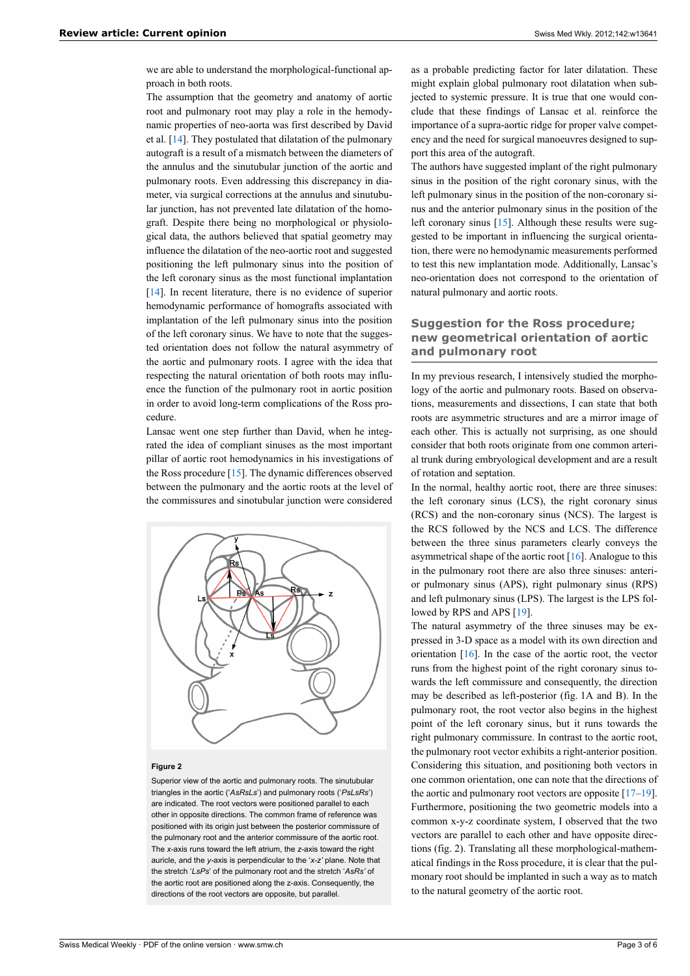we are able to understand the morphological-functional approach in both roots.

The assumption that the geometry and anatomy of aortic root and pulmonary root may play a role in the hemodynamic properties of neo-aorta was first described by David et al. [[14\]](#page-3-13). They postulated that dilatation of the pulmonary autograft is a result of a mismatch between the diameters of the annulus and the sinutubular junction of the aortic and pulmonary roots. Even addressing this discrepancy in diameter, via surgical corrections at the annulus and sinutubular junction, has not prevented late dilatation of the homograft. Despite there being no morphological or physiological data, the authors believed that spatial geometry may influence the dilatation of the neo-aortic root and suggested positioning the left pulmonary sinus into the position of the left coronary sinus as the most functional implantation [\[14](#page-3-13)]. In recent literature, there is no evidence of superior hemodynamic performance of homografts associated with implantation of the left pulmonary sinus into the position of the left coronary sinus. We have to note that the suggested orientation does not follow the natural asymmetry of the aortic and pulmonary roots. I agree with the idea that respecting the natural orientation of both roots may influence the function of the pulmonary root in aortic position in order to avoid long-term complications of the Ross procedure.

Lansac went one step further than David, when he integrated the idea of compliant sinuses as the most important pillar of aortic root hemodynamics in his investigations of the Ross procedure [\[15](#page-3-14)]. The dynamic differences observed between the pulmonary and the aortic roots at the level of the commissures and sinotubular junction were considered



#### **Figure 2**

Superior view of the aortic and pulmonary roots. The sinutubular triangles in the aortic ('*AsRsLs*') and pulmonary roots ('*PsLsRs*') are indicated. The root vectors were positioned parallel to each other in opposite directions. The common frame of reference was positioned with its origin just between the posterior commissure of the pulmonary root and the anterior commissure of the aortic root. The *x-*axis runs toward the left atrium, the *z-*axis toward the right auricle, and the *y-*axis is perpendicular to the '*x-z'* plane. Note that the stretch '*LsPs*' of the pulmonary root and the stretch '*AsRs'* of the aortic root are positioned along the z-axis. Consequently, the directions of the root vectors are opposite, but parallel.

as a probable predicting factor for later dilatation. These might explain global pulmonary root dilatation when subjected to systemic pressure. It is true that one would conclude that these findings of Lansac et al. reinforce the importance of a supra-aortic ridge for proper valve competency and the need for surgical manoeuvres designed to support this area of the autograft.

The authors have suggested implant of the right pulmonary sinus in the position of the right coronary sinus, with the left pulmonary sinus in the position of the non-coronary sinus and the anterior pulmonary sinus in the position of the left coronary sinus [[15\]](#page-3-14). Although these results were suggested to be important in influencing the surgical orientation, there were no hemodynamic measurements performed to test this new implantation mode. Additionally, Lansac's neo-orientation does not correspond to the orientation of natural pulmonary and aortic roots.

# **Suggestion for the Ross procedure; new geometrical orientation of aortic and pulmonary root**

In my previous research, I intensively studied the morphology of the aortic and pulmonary roots. Based on observations, measurements and dissections, I can state that both roots are asymmetric structures and are a mirror image of each other. This is actually not surprising, as one should consider that both roots originate from one common arterial trunk during embryological development and are a result of rotation and septation.

In the normal, healthy aortic root, there are three sinuses: the left coronary sinus (LCS), the right coronary sinus (RCS) and the non-coronary sinus (NCS). The largest is the RCS followed by the NCS and LCS. The difference between the three sinus parameters clearly conveys the asymmetrical shape of the aortic root [[16\]](#page-3-15). Analogue to this in the pulmonary root there are also three sinuses: anterior pulmonary sinus (APS), right pulmonary sinus (RPS) and left pulmonary sinus (LPS). The largest is the LPS followed by RPS and APS [\[19](#page-3-16)].

The natural asymmetry of the three sinuses may be expressed in 3-D space as a model with its own direction and orientation [[16\]](#page-3-15). In the case of the aortic root, the vector runs from the highest point of the right coronary sinus towards the left commissure and consequently, the direction may be described as left-posterior (fig. 1A and B). In the pulmonary root, the root vector also begins in the highest point of the left coronary sinus, but it runs towards the right pulmonary commissure. In contrast to the aortic root, the pulmonary root vector exhibits a right-anterior position. Considering this situation, and positioning both vectors in one common orientation, one can note that the directions of the aortic and pulmonary root vectors are opposite  $[17-19]$  $[17-19]$  $[17-19]$ . Furthermore, positioning the two geometric models into a common x-y-z coordinate system, I observed that the two vectors are parallel to each other and have opposite directions (fig. 2). Translating all these morphological-mathematical findings in the Ross procedure, it is clear that the pulmonary root should be implanted in such a way as to match to the natural geometry of the aortic root.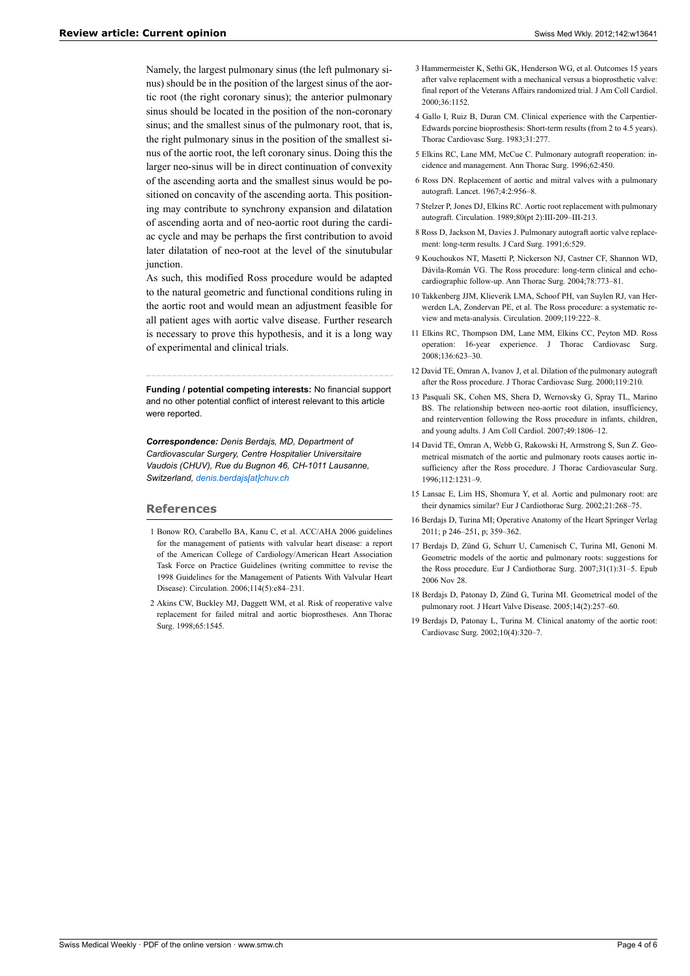<span id="page-3-4"></span><span id="page-3-3"></span><span id="page-3-2"></span>Namely, the largest pulmonary sinus (the left pulmonary sinus) should be in the position of the largest sinus of the aortic root (the right coronary sinus); the anterior pulmonary sinus should be located in the position of the non-coronary sinus; and the smallest sinus of the pulmonary root, that is, the right pulmonary sinus in the position of the smallest sinus of the aortic root, the left coronary sinus. Doing this the larger neo-sinus will be in direct continuation of convexity of the ascending aorta and the smallest sinus would be positioned on concavity of the ascending aorta. This positioning may contribute to synchrony expansion and dilatation of ascending aorta and of neo-aortic root during the cardiac cycle and may be perhaps the first contribution to avoid later dilatation of neo-root at the level of the sinutubular junction.

<span id="page-3-10"></span><span id="page-3-9"></span><span id="page-3-8"></span><span id="page-3-7"></span><span id="page-3-6"></span><span id="page-3-5"></span>As such, this modified Ross procedure would be adapted to the natural geometric and functional conditions ruling in the aortic root and would mean an adjustment feasible for all patient ages with aortic valve disease. Further research is necessary to prove this hypothesis, and it is a long way of experimental and clinical trials.

<span id="page-3-12"></span><span id="page-3-11"></span>**Funding / potential competing interests:** No financial support and no other potential conflict of interest relevant to this article were reported.

<span id="page-3-13"></span>*Correspondence: Denis Berdajs, MD, Department of Cardiovascular Surgery, Centre Hospitalier Universitaire Vaudois (CHUV), Rue du Bugnon 46, CH-1011 Lausanne, Switzerland, [denis.berdajs\[at\]chuv.ch](mailto:denis.berdajs@chuv.ch)*

## <span id="page-3-15"></span><span id="page-3-14"></span><span id="page-3-0"></span>**References**

- <span id="page-3-17"></span>1 Bonow RO, Carabello BA, Kanu C, et al. ACC/AHA 2006 guidelines for the management of patients with valvular heart disease: a report of the American College of Cardiology/American Heart Association Task Force on Practice Guidelines (writing committee to revise the 1998 Guidelines for the Management of Patients With Valvular Heart Disease): Circulation. 2006;114(5):e84–231.
- <span id="page-3-16"></span><span id="page-3-1"></span>2 Akins CW, Buckley MJ, Daggett WM, et al. Risk of reoperative valve replacement for failed mitral and aortic bioprostheses. Ann Thorac Surg. 1998;65:1545.
- 3 Hammermeister K, Sethi GK, Henderson WG, et al. Outcomes 15 years after valve replacement with a mechanical versus a bioprosthetic valve: final report of the Veterans Affairs randomized trial. J Am Coll Cardiol. 2000;36:1152.
- 4 Gallo I, Ruiz B, Duran CM. Clinical experience with the Carpentier-Edwards porcine bioprosthesis: Short-term results (from 2 to 4.5 years). Thorac Cardiovasc Surg. 1983;31:277.
- 5 Elkins RC, Lane MM, McCue C. Pulmonary autograft reoperation: incidence and management. Ann Thorac Surg. 1996;62:450.
- 6 Ross DN. Replacement of aortic and mitral valves with a pulmonary autograft. Lancet. 1967;4:2:956–8.
- 7 Stelzer P, Jones DJ, Elkins RC. Aortic root replacement with pulmonary autograft. Circulation. 1989;80(pt 2):III-209–III-213.
- 8 Ross D, Jackson M, Davies J. Pulmonary autograft aortic valve replacement: long-term results. J Card Surg. 1991;6:529.
- 9 Kouchoukos NT, Masetti P, Nickerson NJ, Castner CF, Shannon WD, Dávila-Román VG. The Ross procedure: long-term clinical and echocardiographic follow-up. Ann Thorac Surg. 2004;78:773–81.
- 10 Takkenberg JJM, Klieverik LMA, Schoof PH, van Suylen RJ, van Herwerden LA, Zondervan PE, et al. The Ross procedure: a systematic review and meta-analysis. Circulation. 2009;119:222–8.
- 11 Elkins RC, Thompson DM, Lane MM, Elkins CC, Peyton MD. Ross operation: 16-year experience. J Thorac Cardiovasc Surg. 2008;136:623–30.
- 12 David TE, Omran A, Ivanov J, et al. Dilation of the pulmonary autograft after the Ross procedure. J Thorac Cardiovasc Surg. 2000;119:210.
- 13 Pasquali SK, Cohen MS, Shera D, Wernovsky G, Spray TL, Marino BS. The relationship between neo-aortic root dilation, insufficiency, and reintervention following the Ross procedure in infants, children, and young adults. J Am Coll Cardiol. 2007;49:1806–12.
- 14 David TE, Omran A, Webb G, Rakowski H, Armstrong S, Sun Z. Geometrical mismatch of the aortic and pulmonary roots causes aortic insufficiency after the Ross procedure. J Thorac Cardiovascular Surg. 1996;112:1231–9.
- 15 Lansac E, Lim HS, Shomura Y, et al. Aortic and pulmonary root: are their dynamics similar? Eur J Cardiothorac Surg. 2002;21:268–75.
- 16 Berdajs D, Turina MI; Operative Anatomy of the Heart Springer Verlag 2011; p 246–251, p; 359–362.
- 17 Berdajs D, Zünd G, Schurr U, Camenisch C, Turina MI, Genoni M. Geometric models of the aortic and pulmonary roots: suggestions for the Ross procedure. Eur J Cardiothorac Surg. 2007;31(1):31–5. Epub 2006 Nov 28.
- 18 Berdajs D, Patonay D, Zünd G, Turina MI. Geometrical model of the pulmonary root. J Heart Valve Disease. 2005;14(2):257–60.
- 19 Berdajs D, Patonay L, Turina M. Clinical anatomy of the aortic root: Cardiovasc Surg. 2002;10(4):320–7.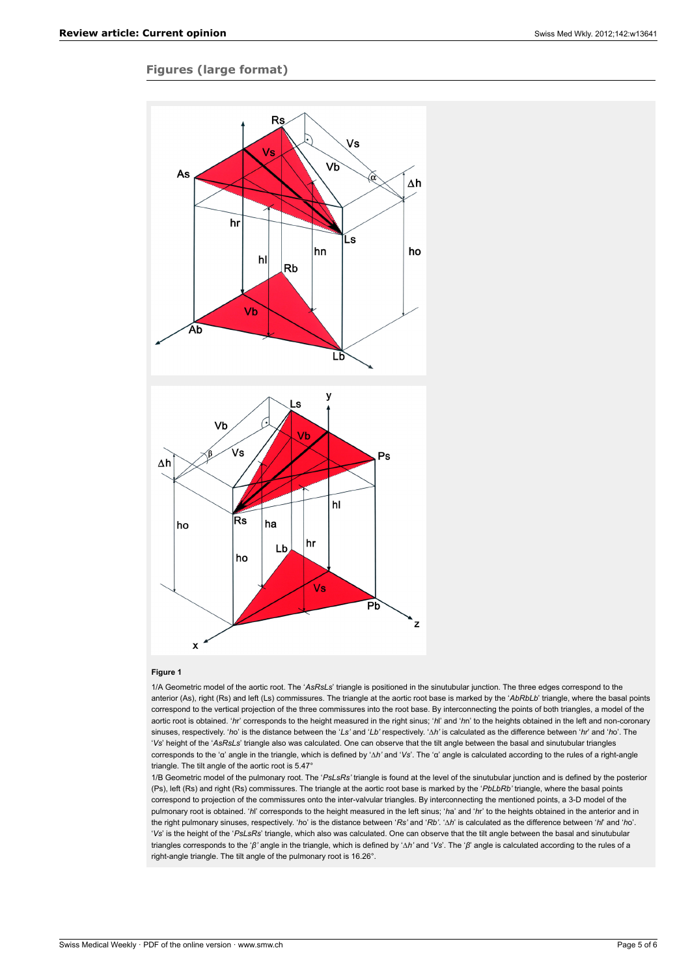# **Figures (large format)**



#### **Figure 1**

1/A Geometric model of the aortic root. The '*AsRsLs*' triangle is positioned in the sinutubular junction. The three edges correspond to the anterior (As), right (Rs) and left (Ls) commissures. The triangle at the aortic root base is marked by the '*AbRbLb*' triangle, where the basal points correspond to the vertical projection of the three commissures into the root base. By interconnecting the points of both triangles, a model of the aortic root is obtained. '*h*r' corresponds to the height measured in the right sinus; '*h*l' and '*h*n' to the heights obtained in the left and non-coronary sinuses, respectively. '*h*o' is the distance between the '*Ls'* and '*Lb'* respectively. '∆*h'* is calculated as the difference between '*hr*' and '*h*o'. The '*Vs*' height of the '*AsRsLs*' triangle also was calculated. One can observe that the tilt angle between the basal and sinutubular triangles corresponds to the 'α' angle in the triangle, which is defined by '∆*h'* and '*Vs*'. The 'α' angle is calculated according to the rules of a right-angle triangle. The tilt angle of the aortic root is 5.47°

1/B Geometric model of the pulmonary root. The '*PsLsRs'* triangle is found at the level of the sinutubular junction and is defined by the posterior (Ps), left (Rs) and right (Rs) commissures. The triangle at the aortic root base is marked by the '*PbLbRb'* triangle, where the basal points correspond to projection of the commissures onto the inter-valvular triangles. By interconnecting the mentioned points, a 3-D model of the pulmonary root is obtained. '*h*l' corresponds to the height measured in the left sinus; '*h*a' and '*h*r' to the heights obtained in the anterior and in the right pulmonary sinuses, respectively. '*h*o' is the distance between '*Rs'* and '*Rb'*. '∆*h*' is calculated as the difference between '*hl*' and '*h*o'. '*Vs*' is the height of the '*PsLsRs*' triangle, which also was calculated. One can observe that the tilt angle between the basal and sinutubular triangles corresponds to the '*β'* angle in the triangle, which is defined by '∆*h'* and '*Vs*'. The '*β*' angle is calculated according to the rules of a right-angle triangle. The tilt angle of the pulmonary root is 16.26°.